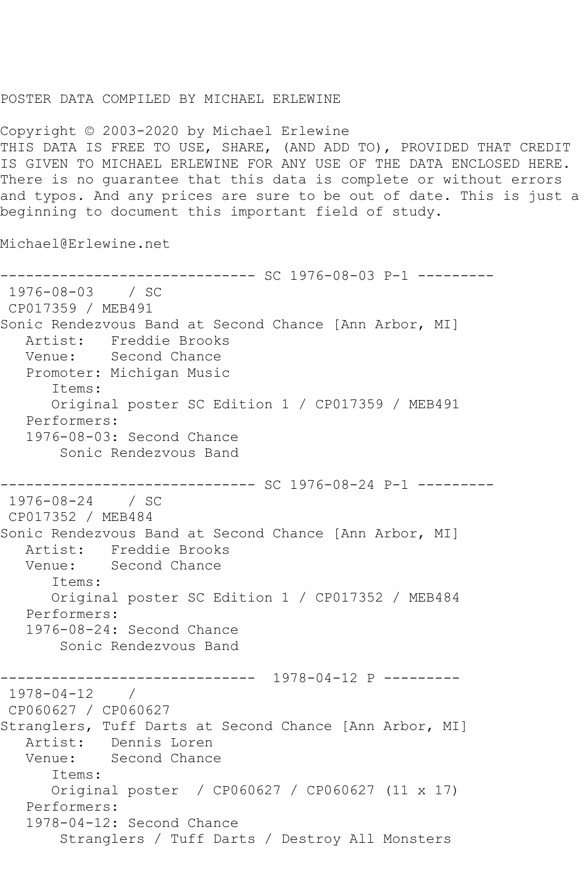## POSTER DATA COMPILED BY MICHAEL ERLEWINE

Copyright © 2003-2020 by Michael Erlewine THIS DATA IS FREE TO USE, SHARE, (AND ADD TO), PROVIDED THAT CREDIT IS GIVEN TO MICHAEL ERLEWINE FOR ANY USE OF THE DATA ENCLOSED HERE. There is no guarantee that this data is complete or without errors and typos. And any prices are sure to be out of date. This is just a beginning to document this important field of study.

Michael@Erlewine.net

------------------------------ SC 1976-08-03 P-1 --------- 1976-08-03 / SC CP017359 / MEB491 Sonic Rendezvous Band at Second Chance [Ann Arbor, MI] Artist: Freddie Brooks<br>Venue: Second Chance Second Chance Promoter: Michigan Music Items: Original poster SC Edition 1 / CP017359 / MEB491 Performers: 1976-08-03: Second Chance Sonic Rendezvous Band ------------------------------ SC 1976-08-24 P-1 --------- 1976-08-24 / SC CP017352 / MEB484 Sonic Rendezvous Band at Second Chance [Ann Arbor, MI] Artist: Freddie Brooks Venue: Second Chance Items: Original poster SC Edition 1 / CP017352 / MEB484 Performers: 1976-08-24: Second Chance Sonic Rendezvous Band ------------------------------ 1978-04-12 P --------- 1978-04-12 / CP060627 / CP060627 Stranglers, Tuff Darts at Second Chance [Ann Arbor, MI] Artist: Dennis Loren Venue: Second Chance Items: Original poster / CP060627 / CP060627 (11 x 17) Performers: 1978-04-12: Second Chance Stranglers / Tuff Darts / Destroy All Monsters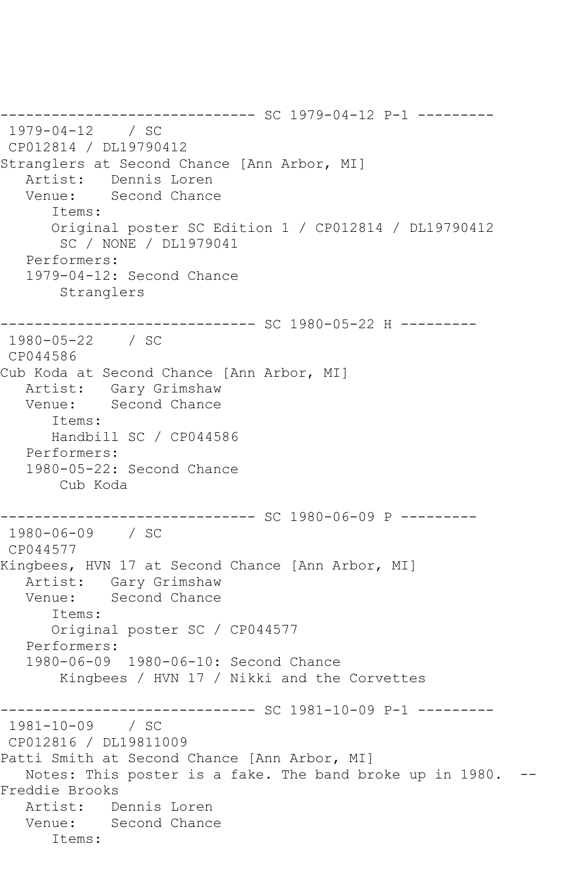```
------------------------------ SC 1979-04-12 P-1 ---------
1979-04-12 / SC 
CP012814 / DL19790412
Stranglers at Second Chance [Ann Arbor, MI]
   Artist: Dennis Loren
   Venue: Second Chance
      Items:
      Original poster SC Edition 1 / CP012814 / DL19790412
       SC / NONE / DL1979041
   Performers:
   1979-04-12: Second Chance
       Stranglers
------------------------------ SC 1980-05-22 H ---------
1980-05-22 / SC 
CP044586
Cub Koda at Second Chance [Ann Arbor, MI]
   Artist: Gary Grimshaw
   Venue: Second Chance
      Items:
      Handbill SC / CP044586
   Performers:
   1980-05-22: Second Chance
       Cub Koda
------------------------------ SC 1980-06-09 P ---------
1980-06-09 / SC 
CP044577
Kingbees, HVN 17 at Second Chance [Ann Arbor, MI]
   Artist: Gary Grimshaw
   Venue: Second Chance
      Items:
      Original poster SC / CP044577
   Performers:
   1980-06-09 1980-06-10: Second Chance
       Kingbees / HVN 17 / Nikki and the Corvettes
------------------------------ SC 1981-10-09 P-1 ---------
1981-10-09 / SC 
CP012816 / DL19811009
Patti Smith at Second Chance [Ann Arbor, MI]
   Notes: This poster is a fake. The band broke up in 1980. --
Freddie Brooks
   Artist: Dennis Loren
   Venue: Second Chance
      Items:
```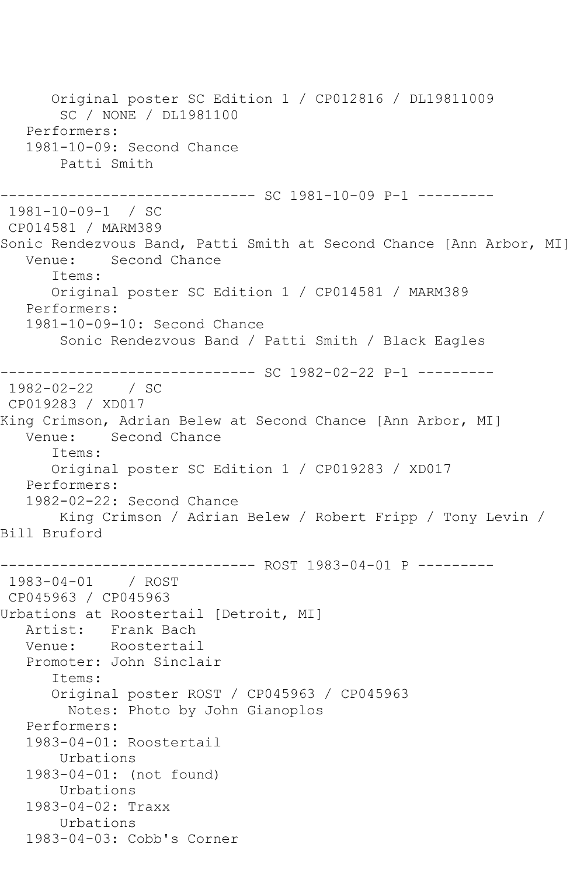Original poster SC Edition 1 / CP012816 / DL19811009 SC / NONE / DL1981100 Performers: 1981-10-09: Second Chance Patti Smith ------------------------------ SC 1981-10-09 P-1 --------- 1981-10-09-1 / SC CP014581 / MARM389 Sonic Rendezvous Band, Patti Smith at Second Chance [Ann Arbor, MI]<br>Venue: Second Chance Second Chance Items: Original poster SC Edition 1 / CP014581 / MARM389 Performers: 1981-10-09-10: Second Chance Sonic Rendezvous Band / Patti Smith / Black Eagles ------------------------------ SC 1982-02-22 P-1 --------- 1982-02-22 / SC CP019283 / XD017 King Crimson, Adrian Belew at Second Chance [Ann Arbor, MI] Venue: Second Chance Items: Original poster SC Edition 1 / CP019283 / XD017 Performers: 1982-02-22: Second Chance King Crimson / Adrian Belew / Robert Fripp / Tony Levin / Bill Bruford ------------------------------ ROST 1983-04-01 P --------- 1983-04-01 / ROST CP045963 / CP045963 Urbations at Roostertail [Detroit, MI] Artist: Frank Bach Venue: Roostertail Promoter: John Sinclair Items: Original poster ROST / CP045963 / CP045963 Notes: Photo by John Gianoplos Performers: 1983-04-01: Roostertail Urbations 1983-04-01: (not found) Urbations 1983-04-02: Traxx Urbations 1983-04-03: Cobb's Corner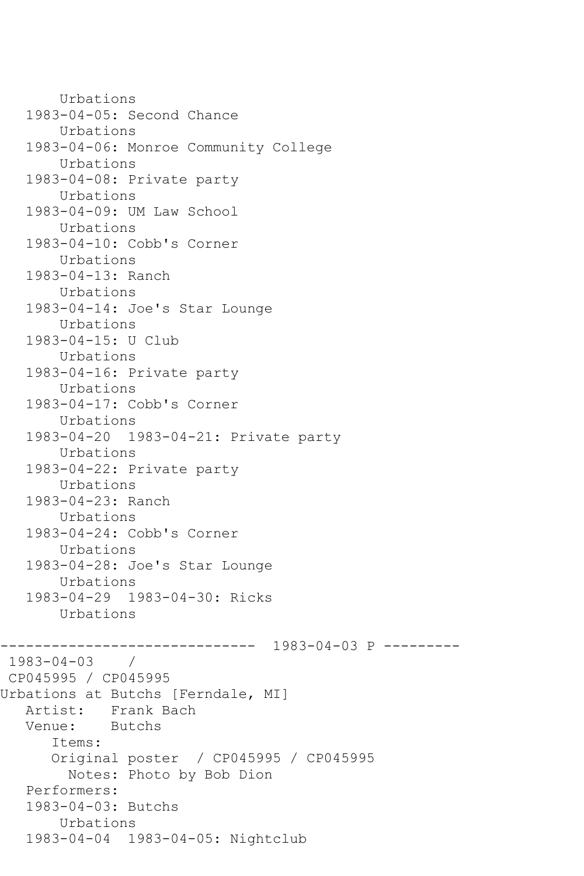```
 Urbations
    1983-04-05: Second Chance
        Urbations
    1983-04-06: Monroe Community College
        Urbations
    1983-04-08: Private party
        Urbations
    1983-04-09: UM Law School
        Urbations
    1983-04-10: Cobb's Corner
        Urbations
    1983-04-13: Ranch
        Urbations
    1983-04-14: Joe's Star Lounge
        Urbations
    1983-04-15: U Club
        Urbations
    1983-04-16: Private party
        Urbations
    1983-04-17: Cobb's Corner
        Urbations
    1983-04-20 1983-04-21: Private party
        Urbations
    1983-04-22: Private party
        Urbations
    1983-04-23: Ranch
        Urbations
    1983-04-24: Cobb's Corner
        Urbations
    1983-04-28: Joe's Star Lounge
        Urbations
    1983-04-29 1983-04-30: Ricks
        Urbations
                       ------------------------------ 1983-04-03 P ---------
1983-04-03 / 
CP045995 / CP045995
Urbations at Butchs [Ferndale, MI]
   Artist: Frank Bach<br>Venue: Butchs
           Butchs
       Items:
       Original poster / CP045995 / CP045995
         Notes: Photo by Bob Dion
    Performers:
    1983-04-03: Butchs
        Urbations
    1983-04-04 1983-04-05: Nightclub
```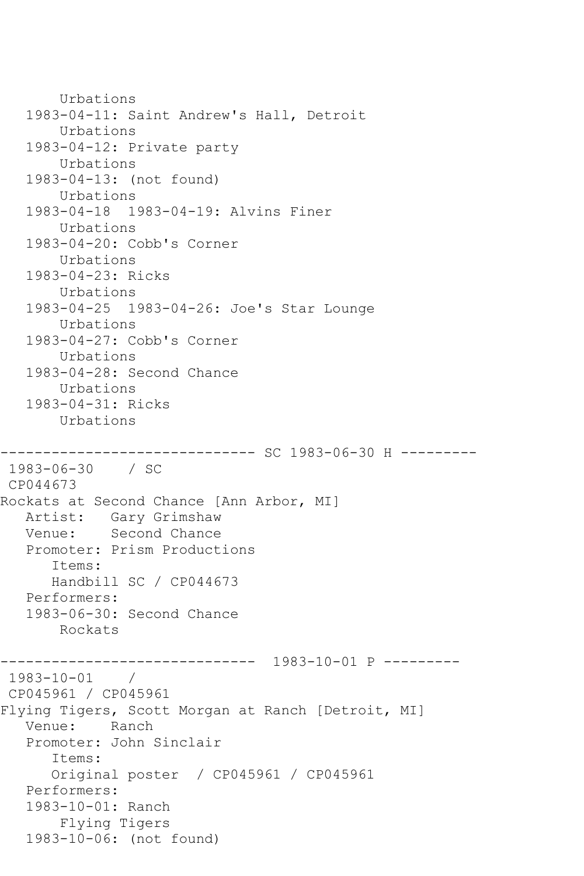```
 Urbations
    1983-04-11: Saint Andrew's Hall, Detroit
        Urbations
    1983-04-12: Private party
        Urbations
    1983-04-13: (not found)
        Urbations
    1983-04-18 1983-04-19: Alvins Finer
        Urbations
    1983-04-20: Cobb's Corner
        Urbations
    1983-04-23: Ricks
        Urbations
    1983-04-25 1983-04-26: Joe's Star Lounge
        Urbations
    1983-04-27: Cobb's Corner
        Urbations
    1983-04-28: Second Chance
        Urbations
    1983-04-31: Ricks
        Urbations
------------------------------ SC 1983-06-30 H ---------
1983-06-30 / SC 
CP044673
Rockats at Second Chance [Ann Arbor, MI]
   Artist: Gary Grimshaw
   Venue: Second Chance
   Promoter: Prism Productions
       Items:
       Handbill SC / CP044673
    Performers:
    1983-06-30: Second Chance
       Rockats
------------------------------ 1983-10-01 P ---------
1983-10-01 / 
CP045961 / CP045961
Flying Tigers, Scott Morgan at Ranch [Detroit, MI]
   Venue: Ranch
    Promoter: John Sinclair
       Items:
       Original poster / CP045961 / CP045961
    Performers:
    1983-10-01: Ranch
        Flying Tigers
    1983-10-06: (not found)
```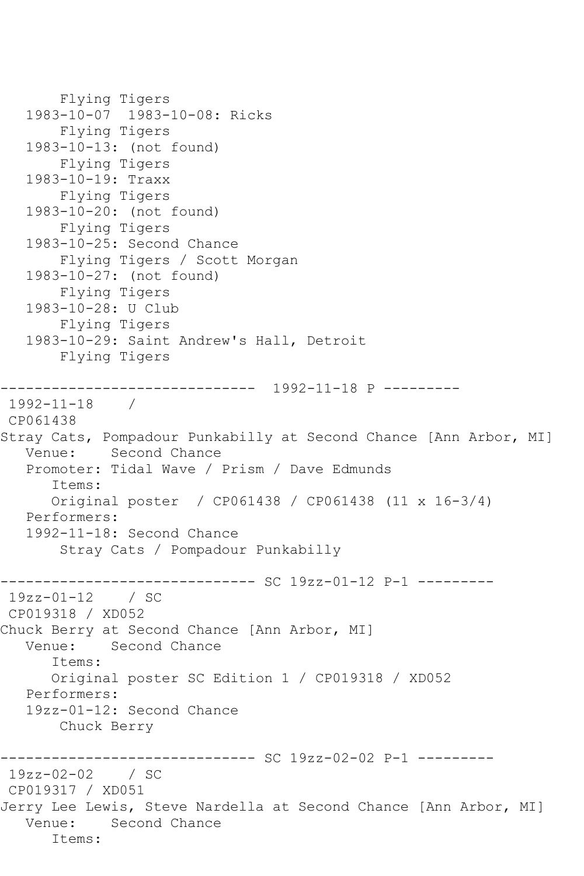```
 Flying Tigers
    1983-10-07 1983-10-08: Ricks
        Flying Tigers
    1983-10-13: (not found)
        Flying Tigers
    1983-10-19: Traxx
        Flying Tigers
    1983-10-20: (not found)
        Flying Tigers
    1983-10-25: Second Chance
        Flying Tigers / Scott Morgan
    1983-10-27: (not found)
        Flying Tigers
    1983-10-28: U Club
        Flying Tigers
    1983-10-29: Saint Andrew's Hall, Detroit
        Flying Tigers
       ------------------------------ 1992-11-18 P ---------
1992-11-18 / 
CP061438
Stray Cats, Pompadour Punkabilly at Second Chance [Ann Arbor, MI]
   Venue: Second Chance
   Promoter: Tidal Wave / Prism / Dave Edmunds
       Items:
       Original poster / CP061438 / CP061438 (11 x 16-3/4)
   Performers:
    1992-11-18: Second Chance
        Stray Cats / Pompadour Punkabilly
                   ------------------------------ SC 19zz-01-12 P-1 ---------
19zz-01-12 / SC 
CP019318 / XD052
Chuck Berry at Second Chance [Ann Arbor, MI]
   Venue: Second Chance
       Items:
       Original poster SC Edition 1 / CP019318 / XD052
    Performers:
    19zz-01-12: Second Chance
        Chuck Berry
                ------------------------------ SC 19zz-02-02 P-1 ---------
19zz-02-02 / SC 
CP019317 / XD051
Jerry Lee Lewis, Steve Nardella at Second Chance [Ann Arbor, MI]
   Venue: Second Chance
       Items:
```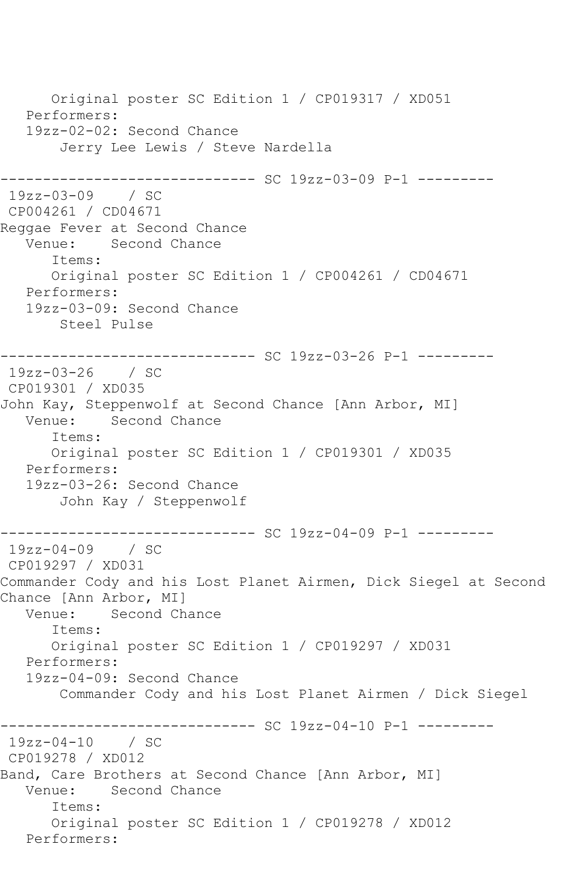Original poster SC Edition 1 / CP019317 / XD051 Performers: 19zz-02-02: Second Chance Jerry Lee Lewis / Steve Nardella ------------------------------ SC 19zz-03-09 P-1 --------- 19zz-03-09 / SC CP004261 / CD04671 Reggae Fever at Second Chance Venue: Second Chance Items: Original poster SC Edition 1 / CP004261 / CD04671 Performers: 19zz-03-09: Second Chance Steel Pulse ------------------------------ SC 19zz-03-26 P-1 --------- 19zz-03-26 / SC CP019301 / XD035 John Kay, Steppenwolf at Second Chance [Ann Arbor, MI] Venue: Second Chance Items: Original poster SC Edition 1 / CP019301 / XD035 Performers: 19zz-03-26: Second Chance John Kay / Steppenwolf ------------------------------ SC 19zz-04-09 P-1 --------- 19zz-04-09 / SC CP019297 / XD031 Commander Cody and his Lost Planet Airmen, Dick Siegel at Second Chance [Ann Arbor, MI]<br>Venue: Second Ch Second Chance Items: Original poster SC Edition 1 / CP019297 / XD031 Performers: 19zz-04-09: Second Chance Commander Cody and his Lost Planet Airmen / Dick Siegel ------------------------------ SC 19zz-04-10 P-1 --------- 19zz-04-10 / SC CP019278 / XD012 Band, Care Brothers at Second Chance [Ann Arbor, MI] Venue: Second Chance Items: Original poster SC Edition 1 / CP019278 / XD012 Performers: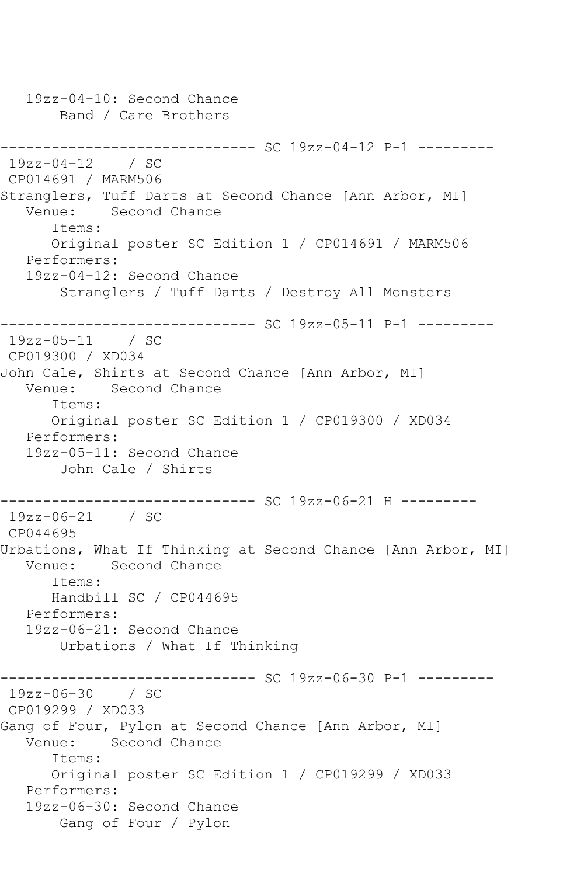19zz-04-10: Second Chance Band / Care Brothers ------------------------------ SC 19zz-04-12 P-1 --------- 19zz-04-12 / SC CP014691 / MARM506 Stranglers, Tuff Darts at Second Chance [Ann Arbor, MI]<br>Venue: Second Chance Second Chance Items: Original poster SC Edition 1 / CP014691 / MARM506 Performers: 19zz-04-12: Second Chance Stranglers / Tuff Darts / Destroy All Monsters ------------------------------ SC 19zz-05-11 P-1 --------- 19zz-05-11 / SC CP019300 / XD034 John Cale, Shirts at Second Chance [Ann Arbor, MI] Venue: Second Chance Items: Original poster SC Edition 1 / CP019300 / XD034 Performers: 19zz-05-11: Second Chance John Cale / Shirts ------------------------------ SC 19zz-06-21 H --------- 19zz-06-21 / SC CP044695 Urbations, What If Thinking at Second Chance [Ann Arbor, MI] Venue: Second Chance Items: Handbill SC / CP044695 Performers: 19zz-06-21: Second Chance Urbations / What If Thinking ------------------------------ SC 19zz-06-30 P-1 --------- 19zz-06-30 / SC CP019299 / XD033 Gang of Four, Pylon at Second Chance [Ann Arbor, MI] Venue: Second Chance Items: Original poster SC Edition 1 / CP019299 / XD033 Performers: 19zz-06-30: Second Chance Gang of Four / Pylon